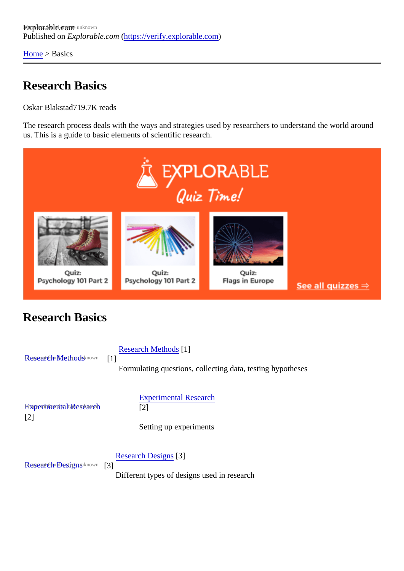[Home](https://verify.explorable.com/) > Basics

## Research Basics

Oskar Blakstad19.7K reads

The research process deals with the ways and strategies used by researchers to understand the world ard us. This is a guide to basic elements of scientific research.

## Research Basics

[Research Methods](https://verify.explorable.com/research-methodology) nown [1] [Research Method](https://verify.explorable.com/research-methodology)<sup>[4]</sup> Formulating questions, collecting data, testing hypotheses [Experimental Research](https://verify.explorable.com/experimental-research) [2] [Experimental Resear](https://verify.explorable.com/experimental-research)ch [2] Setting up experiments [Research Designs](https://verify.explorable.com/research-designs) nown[3] [Research Design](https://verify.explorable.com/research-designs)<sup>[8]</sup> Different types of designs used in research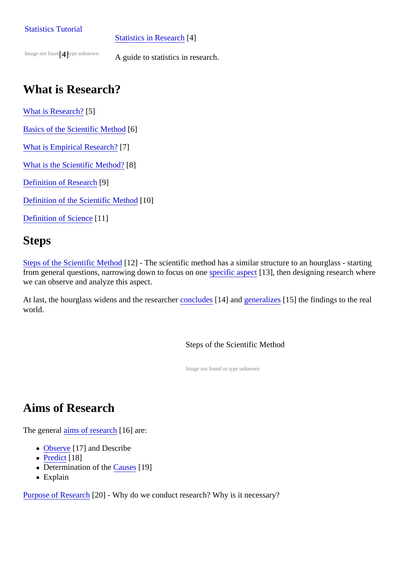#### [Statistics](https://verify.explorable.com/statistics-tutorial) Tutorial

#### [Statistics in Resear](https://verify.explorable.com/statistics-tutorial)ch[4]

Image not four any type unknown

A guide to statistics in research.

# What is Research?

[What is Research](https://verify.explorable.com/what-is-research)<sup>[5]</sup>

[Basics of the Scientific Metho](https://verify.explorable.com/scientific-method)<sup>6</sup>]

[What is Empirical Researc](https://verify.explorable.com/empirical-research)h?

[What is the Scientific Method](https://verify.explorable.com/what-is-the-scientific-method)<sup>8</sup>]

[Definition of Researc](https://verify.explorable.com/definition-of-research)<sup>[9]</sup>

[Definition of the Scientific Metho](https://verify.explorable.com/definition-of-the-scientific-method)m0]

Definition of Scienco11]

### **Steps**

[Steps of the Scientific Metho](https://verify.explorable.com/steps-of-the-scientific-method)d[12] - The scientific method has a similar structure to an hourglass - starting from general questions, narrowing down to focus on **sprecific aspect** 13], then designing research where we can observe and analyze this aspect.

At last, the hourglass widens and the researcher ludes [14] and [generalize](https://verify.explorable.com/what-is-generalization)s [15] the findings to the real world.

Steps of the Scientific Method

Image not found or type unknown

# Aims of Research

The gener[al aims of researc](https://verify.explorable.com/aims-of-research)h 6] are:

- [Observe](https://verify.explorable.com/observational-study)<sup>[17]</sup> and Describe
- [Predic](https://verify.explorable.com/prediction-in-research)t[18]
- Determination of th $\mathbfcal{E}$ ause\$19]
- Explain

[Purpose of Resear](https://verify.explorable.com/purpose-of-research)<sup>[20]</sup> - Why do we conduct research? Why is it necessary?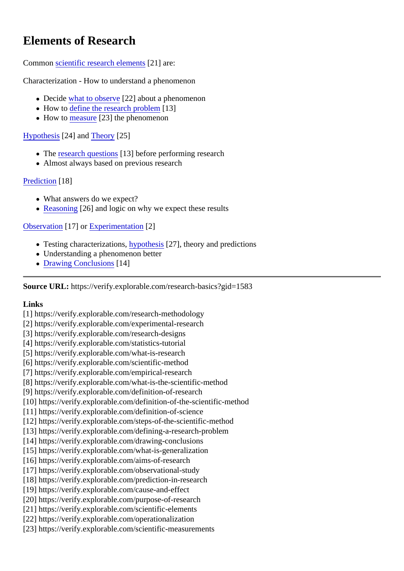# Elements of Research

#### Commonscientific research elemen<sup>[21]</sup> are:

Characterization - How to understand a phenomenon

- Decidewhat to observ $[22]$  about a phenomenon
- $\bullet$  How to [define the research proble](https://verify.explorable.com/defining-a-research-problem)m<sup>3</sup>]
- $\bullet$  How to [measure](https://verify.explorable.com/scientific-measurements) 23] the phenomenon

### [Hypothesis](https://verify.explorable.com/research-hypothesis)<sup>[24]</sup> an[d Theory](https://verify.explorable.com/truth-and-theory)<sup>[25]</sup>

- The [research questio](https://verify.explorable.com/defining-a-research-problem)n<sup>t</sup>s3] before performing research
- Almost always based on previous research

### [Prediction](https://verify.explorable.com/prediction-in-research)[18]

- What answers do we expect?
- [Reasoning](https://verify.explorable.com/scientific-reasoning) 26] and logic on why we expect these results

### [Observation](https://verify.explorable.com/observational-study)[17] or [Experimentation](https://verify.explorable.com/experimental-research)[2]

- Testing characterizations ypothesis<sup>[27]</sup>, theory and predictions
- Understanding a phenomenon better
- [Drawing Conclusion](https://verify.explorable.com/drawing-conclusions)\$14]

Source URL: https://verify.explorable.com/research-basics?gid=1583

Links

[1] https://verify.explorable.com/research-methodology

- [2] https://verify.explorable.com/experimental-research
- [3] https://verify.explorable.com/research-designs
- [4] https://verify.explorable.com/statistics-tutorial
- [5] https://verify.explorable.com/what-is-research
- [6] https://verify.explorable.com/scientific-method
- [7] https://verify.explorable.com/empirical-research
- [8] https://verify.explorable.com/what-is-the-scientific-method
- [9] https://verify.explorable.com/definition-of-research
- [10] https://verify.explorable.com/definition-of-the-scientific-method
- [11] https://verify.explorable.com/definition-of-science
- [12] https://verify.explorable.com/steps-of-the-scientific-method
- [13] https://verify.explorable.com/defining-a-research-problem
- [14] https://verify.explorable.com/drawing-conclusions
- [15] https://verify.explorable.com/what-is-generalization
- [16] https://verify.explorable.com/aims-of-research
- [17] https://verify.explorable.com/observational-study
- [18] https://verify.explorable.com/prediction-in-research
- [19] https://verify.explorable.com/cause-and-effect
- [20] https://verify.explorable.com/purpose-of-research
- [21] https://verify.explorable.com/scientific-elements
- [22] https://verify.explorable.com/operationalization
- [23] https://verify.explorable.com/scientific-measurements